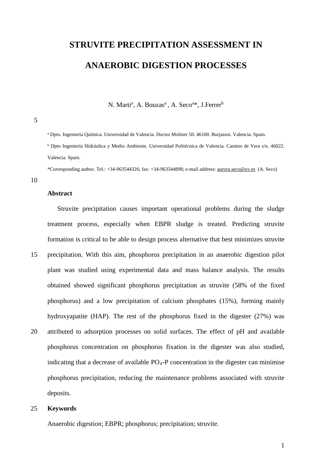# **STRUVITE PRECIPITATION ASSESSMENT IN ANAEROBIC DIGESTION PROCESSES**

N. Marti<sup>a</sup>, A. Bouzas<sup>a</sup>, A. Seco<sup>a\*</sup>, J.Ferrer<sup>b</sup>

<sup>a</sup> Dpto. Ingeniería Química. Universidad de Valencia. Doctor Moliner 50. 46100. Burjassot. Valencia. Spain.

<sup>b</sup> Dpto Ingeniería Hidráulica y Medio Ambiente. Universidad Politécnica de Valencia. Camino de Vera s/n. 46022. Valencia. Spain.

\*Corresponding author. Tel.: +34-963544326; fax: +34-963544898; e-mail address[: aurora.seco@uv.es](mailto:aurora.seco@uv.es) (A. Seco)

10

#### **Abstract**

Struvite precipitation causes important operational problems during the sludge treatment process, especially when EBPR sludge is treated. Predicting struvite formation is critical to be able to design process alternative that best minimizes struvite

- 15 precipitation. With this aim, phosphorus precipitation in an anaerobic digestion pilot plant was studied using experimental data and mass balance analysis. The results obtained showed significant phosphorus precipitation as struvite (58% of the fixed phosphorus) and a low precipitation of calcium phosphates (15%), forming mainly hydroxyapatite (HAP). The rest of the phosphorus fixed in the digester (27%) was
- 20 attributed to adsorption processes on solid surfaces. The effect of pH and available phosphorus concentration on phosphorus fixation in the digester was also studied, indicating that a decrease of available  $PO<sub>4</sub>-P$  concentration in the digester can minimise phosphorus precipitation, reducing the maintenance problems associated with struvite deposits.

#### 25 **Keywords**

Anaerobic digestion; EBPR; phosphorus; precipitation; struvite.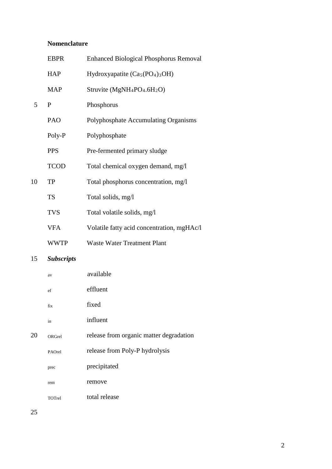## **Nomenclature**

|    | <b>EBPR</b>       | <b>Enhanced Biological Phosphorus Removal</b>                       |
|----|-------------------|---------------------------------------------------------------------|
|    | <b>HAP</b>        | Hydroxyapatite (Ca <sub>5</sub> (PO <sub>4</sub> ) <sub>3</sub> OH) |
|    | <b>MAP</b>        | Struvite (MgNH <sub>4</sub> PO <sub>4</sub> .6H <sub>2</sub> O)     |
| 5  | $\mathbf{P}$      | Phosphorus                                                          |
|    | PAO               | Polyphosphate Accumulating Organisms                                |
|    | Poly-P            | Polyphosphate                                                       |
|    | <b>PPS</b>        | Pre-fermented primary sludge                                        |
|    | <b>TCOD</b>       | Total chemical oxygen demand, mg/l                                  |
| 10 | TP                | Total phosphorus concentration, mg/l                                |
|    | <b>TS</b>         | Total solids, mg/l                                                  |
|    | <b>TVS</b>        | Total volatile solids, mg/l                                         |
|    | <b>VFA</b>        | Volatile fatty acid concentration, mgHAc/l                          |
|    | <b>WWTP</b>       | <b>Waste Water Treatment Plant</b>                                  |
| 15 | <b>Subscripts</b> |                                                                     |
|    | av                | available                                                           |
|    | ef                | effluent                                                            |
|    | fix               | fixed                                                               |
|    | in                | influent                                                            |
| 20 | ORGrel            | release from organic matter degradation                             |
|    | PAOrel            | release from Poly-P hydrolysis                                      |
|    | prec              | precipitated                                                        |
|    | rem               | remove                                                              |
|    |                   |                                                                     |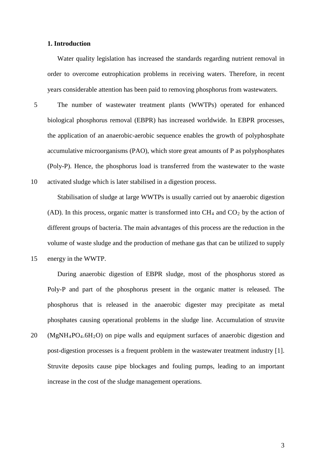#### **1. Introduction**

Water quality legislation has increased the standards regarding nutrient removal in order to overcome eutrophication problems in receiving waters. Therefore, in recent years considerable attention has been paid to removing phosphorus from wastewaters.

5 The number of wastewater treatment plants (WWTPs) operated for enhanced biological phosphorus removal (EBPR) has increased worldwide. In EBPR processes, the application of an anaerobic-aerobic sequence enables the growth of polyphosphate accumulative microorganisms (PAO), which store great amounts of P as polyphosphates (Poly-P). Hence, the phosphorus load is transferred from the wastewater to the waste 10 activated sludge which is later stabilised in a digestion process.

Stabilisation of sludge at large WWTPs is usually carried out by anaerobic digestion (AD). In this process, organic matter is transformed into  $CH_4$  and  $CO_2$  by the action of different groups of bacteria. The main advantages of this process are the reduction in the volume of waste sludge and the production of methane gas that can be utilized to supply 15 energy in the WWTP.

During anaerobic digestion of EBPR sludge, most of the phosphorus stored as Poly-P and part of the phosphorus present in the organic matter is released. The phosphorus that is released in the anaerobic digester may precipitate as metal phosphates causing operational problems in the sludge line. Accumulation of struvite  $20$  (MgNH<sub>4</sub>PO<sub>4</sub>.6H<sub>2</sub>O) on pipe walls and equipment surfaces of anaerobic digestion and post-digestion processes is a frequent problem in the wastewater treatment industry [1]. Struvite deposits cause pipe blockages and fouling pumps, leading to an important increase in the cost of the sludge management operations.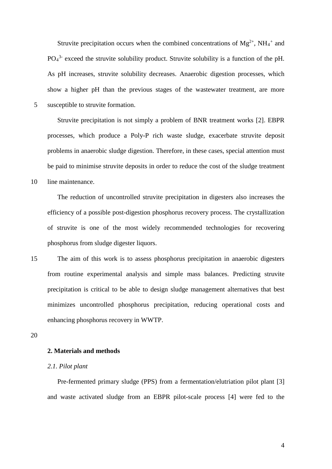Struvite precipitation occurs when the combined concentrations of  $Mg^{2+}$ , NH<sub>4</sub><sup>+</sup> and  $PO<sub>4</sub><sup>3</sup>$  exceed the struvite solubility product. Struvite solubility is a function of the pH. As pH increases, struvite solubility decreases. Anaerobic digestion processes, which show a higher pH than the previous stages of the wastewater treatment, are more 5 susceptible to struvite formation.

Struvite precipitation is not simply a problem of BNR treatment works [2]. EBPR processes, which produce a Poly-P rich waste sludge, exacerbate struvite deposit problems in anaerobic sludge digestion. Therefore, in these cases, special attention must be paid to minimise struvite deposits in order to reduce the cost of the sludge treatment 10 line maintenance.

The reduction of uncontrolled struvite precipitation in digesters also increases the efficiency of a possible post-digestion phosphorus recovery process. The crystallization of struvite is one of the most widely recommended technologies for recovering phosphorus from sludge digester liquors.

15 The aim of this work is to assess phosphorus precipitation in anaerobic digesters from routine experimental analysis and simple mass balances. Predicting struvite precipitation is critical to be able to design sludge management alternatives that best minimizes uncontrolled phosphorus precipitation, reducing operational costs and enhancing phosphorus recovery in WWTP.

20

## **2. Materials and methods**

#### *2.1. Pilot plant*

Pre-fermented primary sludge (PPS) from a fermentation/elutriation pilot plant [3] and waste activated sludge from an EBPR pilot-scale process [4] were fed to the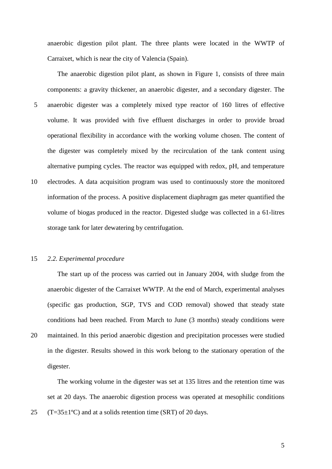anaerobic digestion pilot plant. The three plants were located in the WWTP of Carraixet, which is near the city of Valencia (Spain).

The anaerobic digestion pilot plant, as shown in Figure 1, consists of three main components: a gravity thickener, an anaerobic digester, and a secondary digester. The 5 anaerobic digester was a completely mixed type reactor of 160 litres of effective volume. It was provided with five effluent discharges in order to provide broad operational flexibility in accordance with the working volume chosen. The content of the digester was completely mixed by the recirculation of the tank content using alternative pumping cycles. The reactor was equipped with redox, pH, and temperature 10 electrodes. A data acquisition program was used to continuously store the monitored information of the process. A positive displacement diaphragm gas meter quantified the

volume of biogas produced in the reactor. Digested sludge was collected in a 61-litres storage tank for later dewatering by centrifugation.

#### 15 *2.2. Experimental procedure*

The start up of the process was carried out in January 2004, with sludge from the anaerobic digester of the Carraixet WWTP. At the end of March, experimental analyses (specific gas production, SGP, TVS and COD removal) showed that steady state conditions had been reached. From March to June (3 months) steady conditions were 20 maintained. In this period anaerobic digestion and precipitation processes were studied in the digester. Results showed in this work belong to the stationary operation of the digester.

The working volume in the digester was set at 135 litres and the retention time was set at 20 days. The anaerobic digestion process was operated at mesophilic conditions 25 (T=35 $\pm$ 1°C) and at a solids retention time (SRT) of 20 days.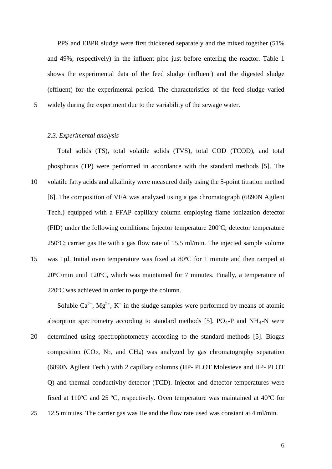PPS and EBPR sludge were first thickened separately and the mixed together (51% and 49%, respectively) in the influent pipe just before entering the reactor. Table 1 shows the experimental data of the feed sludge (influent) and the digested sludge (effluent) for the experimental period. The characteristics of the feed sludge varied 5 widely during the experiment due to the variability of the sewage water.

#### *2.3. Experimental analysis*

Total solids (TS), total volatile solids (TVS), total COD (TCOD), and total phosphorus (TP) were performed in accordance with the standard methods [5]. The 10 volatile fatty acids and alkalinity were measured daily using the 5-point titration method [6]. The composition of VFA was analyzed using a gas chromatograph (6890N Agilent Tech.) equipped with a FFAP capillary column employing flame ionization detector (FID) under the following conditions: Injector temperature 200ºC; detector temperature 250ºC; carrier gas He with a gas flow rate of 15.5 ml/min. The injected sample volume 15 was 1µl. Initial oven temperature was fixed at 80ºC for 1 minute and then ramped at

20ºC/min until 120ºC, which was maintained for 7 minutes. Finally, a temperature of 220ºC was achieved in order to purge the column.

Soluble  $Ca^{2+}$ ,  $Mg^{2+}$ , K<sup>+</sup> in the sludge samples were performed by means of atomic absorption spectrometry according to standard methods  $[5]$ . PO<sub>4</sub>-P and NH<sub>4</sub>-N were 20 determined using spectrophotometry according to the standard methods [5]. Biogas composition  $(CO_2, N_2, and CH_4)$  was analyzed by gas chromatography separation (6890N Agilent Tech.) with 2 capillary columns (HP- PLOT Molesieve and HP- PLOT Q) and thermal conductivity detector (TCD). Injector and detector temperatures were fixed at 110ºC and 25 ºC, respectively. Oven temperature was maintained at 40ºC for

25 12.5 minutes. The carrier gas was He and the flow rate used was constant at 4 ml/min.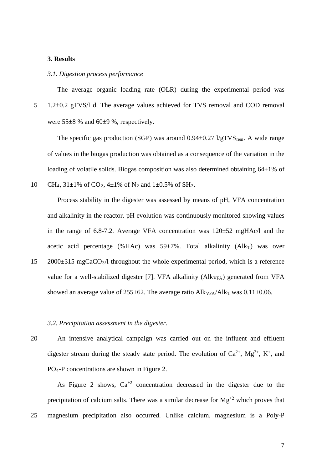## **3. Results**

#### *3.1. Digestion process performance*

The average organic loading rate (OLR) during the experimental period was 5 1.2±0.2 gTVS/l d. The average values achieved for TVS removal and COD removal were 55±8 % and 60±9 %, respectively.

The specific gas production (SGP) was around  $0.94\pm0.27$  l/gTVS<sub>rem</sub>. A wide range of values in the biogas production was obtained as a consequence of the variation in the loading of volatile solids. Biogas composition was also determined obtaining  $64\pm1\%$  of 10 CH<sub>4</sub>, 31 $\pm$ 1% of CO<sub>2</sub>, 4 $\pm$ 1% of N<sub>2</sub> and 1 $\pm$ 0.5% of SH<sub>2</sub>.

Process stability in the digester was assessed by means of pH, VFA concentration and alkalinity in the reactor. pH evolution was continuously monitored showing values in the range of 6.8-7.2. Average VFA concentration was 120±52 mgHAc/l and the acetic acid percentage (%HAc) was  $59\pm7\%$ . Total alkalinity (Alk<sub>T</sub>) was over  $15$  2000 $\pm$ 315 mgCaCO<sub>3</sub>/l throughout the whole experimental period, which is a reference value for a well-stabilized digester [7]. VFA alkalinity  $(AIk_{VFA})$  generated from VFA showed an average value of  $255\pm62$ . The average ratio Alk<sub>VFA</sub>/Alk<sub>T</sub> was  $0.11\pm0.06$ .

#### *3.2. Precipitation assessment in the digester.*

20 An intensive analytical campaign was carried out on the influent and effluent digester stream during the steady state period. The evolution of  $Ca^{2+}$ ,  $Mg^{2+}$ , K<sup>+</sup>, and PO4-P concentrations are shown in Figure 2.

As Figure 2 shows,  $Ca^{+2}$  concentration decreased in the digester due to the precipitation of calcium salts. There was a similar decrease for  $Mg^{+2}$  which proves that 25 magnesium precipitation also occurred. Unlike calcium, magnesium is a Poly-P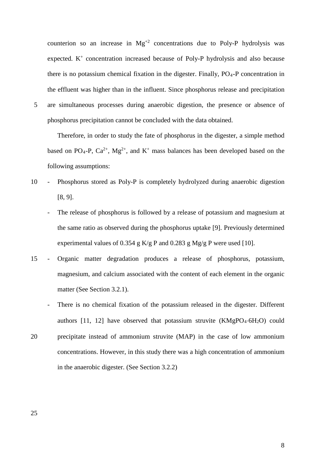counterion so an increase in  $Mg^{2}$  concentrations due to Poly-P hydrolysis was expected.  $K^+$  concentration increased because of Poly-P hydrolysis and also because there is no potassium chemical fixation in the digester. Finally, PO4-P concentration in the effluent was higher than in the influent. Since phosphorus release and precipitation 5 are simultaneous processes during anaerobic digestion, the presence or absence of phosphorus precipitation cannot be concluded with the data obtained.

Therefore, in order to study the fate of phosphorus in the digester, a simple method based on PO<sub>4</sub>-P, Ca<sup>2+</sup>, Mg<sup>2+</sup>, and K<sup>+</sup> mass balances has been developed based on the following assumptions:

- 10 Phosphorus stored as Poly-P is completely hydrolyzed during anaerobic digestion [8, 9].
	- The release of phosphorus is followed by a release of potassium and magnesium at the same ratio as observed during the phosphorus uptake [9]. Previously determined experimental values of 0.354 g K/g P and 0.283 g Mg/g P were used [10].
- 15 Organic matter degradation produces a release of phosphorus, potassium, magnesium, and calcium associated with the content of each element in the organic matter (See Section 3.2.1).
- There is no chemical fixation of the potassium released in the digester. Different authors [11, 12] have observed that potassium struvite  $(KMgPO<sub>4</sub>·6H<sub>2</sub>O)$  could 20 precipitate instead of ammonium struvite (MAP) in the case of low ammonium concentrations. However, in this study there was a high concentration of ammonium in the anaerobic digester. (See Section 3.2.2)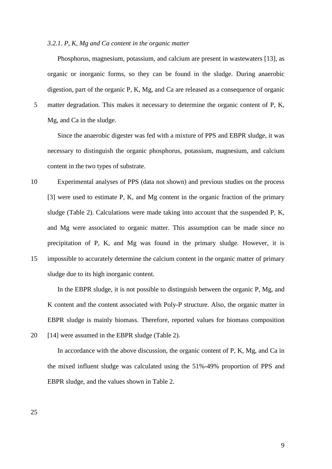#### *3.2.1. P, K, Mg and Ca content in the organic matter*

Phosphorus, magnesium, potassium, and calcium are present in wastewaters [13], as organic or inorganic forms, so they can be found in the sludge. During anaerobic digestion, part of the organic P, K, Mg, and Ca are released as a consequence of organic

5 matter degradation. This makes it necessary to determine the organic content of P, K, Mg, and Ca in the sludge.

Since the anaerobic digester was fed with a mixture of PPS and EBPR sludge, it was necessary to distinguish the organic phosphorus, potassium, magnesium, and calcium content in the two types of substrate.

10 Experimental analyses of PPS (data not shown) and previous studies on the process [3] were used to estimate P, K, and Mg content in the organic fraction of the primary sludge (Table 2). Calculations were made taking into account that the suspended P, K, and Mg were associated to organic matter. This assumption can be made since no precipitation of P, K, and Mg was found in the primary sludge. However, it is 15 impossible to accurately determine the calcium content in the organic matter of primary sludge due to its high inorganic content.

In the EBPR sludge, it is not possible to distinguish between the organic P, Mg, and K content and the content associated with Poly-P structure. Also, the organic matter in EBPR sludge is mainly biomass. Therefore, reported values for biomass composition 20 [14] were assumed in the EBPR sludge (Table 2).

In accordance with the above discussion, the organic content of P, K, Mg, and Ca in the mixed influent sludge was calculated using the 51%-49% proportion of PPS and EBPR sludge, and the values shown in Table 2.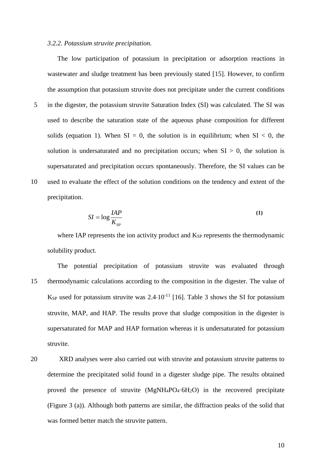#### *3.2.2. Potassium struvite precipitation.*

The low participation of potassium in precipitation or adsorption reactions in wastewater and sludge treatment has been previously stated [15]. However, to confirm the assumption that potassium struvite does not precipitate under the current conditions 5 in the digester, the potassium struvite Saturation Index (SI) was calculated. The SI was used to describe the saturation state of the aqueous phase composition for different solids (equation 1). When  $SI = 0$ , the solution is in equilibrium; when  $SI < 0$ , the solution is undersaturated and no precipitation occurs; when  $SI > 0$ , the solution is supersaturated and precipitation occurs spontaneously. Therefore, the SI values can be 10 used to evaluate the effect of the solution conditions on the tendency and extent of the precipitation.

$$
SI = \log \frac{IAP}{K_{SP}} \tag{1}
$$

where IAP represents the ion activity product and K<sub>SP</sub> represents the thermodynamic solubility product.

- The potential precipitation of potassium struvite was evaluated through 15 thermodynamic calculations according to the composition in the digester. The value of K<sub>SP</sub> used for potassium struvite was  $2.4 \cdot 10^{-11}$  [16]. Table 3 shows the SI for potassium struvite, MAP, and HAP. The results prove that sludge composition in the digester is supersaturated for MAP and HAP formation whereas it is undersaturated for potassium struvite.
- 20 XRD analyses were also carried out with struvite and potassium struvite patterns to determine the precipitated solid found in a digester sludge pipe. The results obtained proved the presence of struvite (MgNH4PO4·6H2O) in the recovered precipitate (Figure 3 (a)). Although both patterns are similar, the diffraction peaks of the solid that was formed better match the struvite pattern.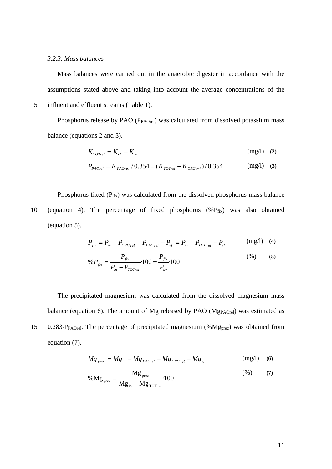## *3.2.3. Mass balances*

Mass balances were carried out in the anaerobic digester in accordance with the assumptions stated above and taking into account the average concentrations of the 5 influent and effluent streams (Table 1).

Phosphorus release by PAO ( $P_{PAOrel}$ ) was calculated from dissolved potassium mass balance (equations 2 and 3).

$$
K_{\text{TOTrel}} = K_{\text{ef}} - K_{\text{in}} \tag{2}
$$

$$
P_{pAOrel} = K_{pAOrel} / 0.354 = (K_{TOTrel} - K_{ORG_{rel}}) / 0.354
$$
 (mg/l) (3)

Phosphorus fixed  $(P_{fix})$  was calculated from the dissolved phosphorus mass balance 10 (equation 4). The percentage of fixed phosphorus  $(\%P_{fix})$  was also obtained (equation 5).

$$
P_{fix} = P_{in} + P_{ORG\,rel} + P_{PAO\,rel} - P_{ef} = P_{in} + P_{TOT\,rel} - P_{ef} \tag{mg/l} \tag{4}
$$

$$
\%P_{fix} = \frac{P_{fix}}{P_{in} + P_{TOTrel}} \cdot 100 = \frac{P_{fix}}{P_{av}} \cdot 100 \tag{96}
$$

The precipitated magnesium was calculated from the dissolved magnesium mass balance (equation 6). The amount of Mg released by PAO ( $Mg_{PAOrel}$ ) was estimated as 15 0.283⋅PPAOrel. The percentage of precipitated magnesium (%Mg<sub>prec</sub>) was obtained from equation (7).

$$
Mg_{\text{prec}} = Mg_{\text{in}} + Mg_{\text{pAOrel}} + Mg_{\text{ORG}_{\text{rel}}} - Mg_{\text{ef}} \qquad (\text{mg/l}) \quad (6)
$$

$$
\% \text{Mg}_{\text{prec}} = \frac{\text{Mg}_{\text{prec}}}{\text{Mg}_{\text{in}} + \text{Mg}_{\text{TOT rel}}} \cdot 100 \tag{7}
$$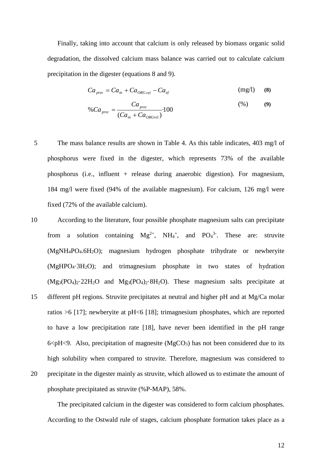Finally, taking into account that calcium is only released by biomass organic solid degradation, the dissolved calcium mass balance was carried out to calculate calcium precipitation in the digester (equations 8 and 9).

$$
Ca_{prec} = Ca_{in} + Ca_{ORGrel} - Ca_{ef}
$$
 (mg/l) (8)

$$
\%Ca_{prec} = \frac{Ca_{prec}}{(Ca_{in} + Ca_{ORGrel})} \cdot 100
$$
\n(9)

- 5 The mass balance results are shown in Table 4. As this table indicates, 403 mg/l of phosphorus were fixed in the digester, which represents 73% of the available phosphorus (i.e., influent + release during anaerobic digestion). For magnesium, 184 mg/l were fixed (94% of the available magnesium). For calcium, 126 mg/l were fixed (72% of the available calcium).
- 10 According to the literature, four possible phosphate magnesium salts can precipitate from a solution containing  $Mg^{2+}$ , NH<sub>4</sub><sup>+</sup>, and PO<sub>4</sub><sup>3</sup>. These are: struvite (MgNH4PO4.6H2O); magnesium hydrogen phosphate trihydrate or newberyite (MgHPO4·3H2O); and trimagnesium phosphate in two states of hydration  $(Mg_3(PO_4)_2.22H_2O$  and  $Mg_3(PO_4)_2.8H_2O$ . These magnesium salts precipitate at
- 15 different pH regions. Struvite precipitates at neutral and higher pH and at Mg/Ca molar ratios >6 [17]; newberyite at pH<6 [18]; trimagnesium phosphates, which are reported to have a low precipitation rate [18], have never been identified in the pH range  $6$ <pH<9. Also, precipitation of magnesite (MgCO<sub>3</sub>) has not been considered due to its high solubility when compared to struvite. Therefore, magnesium was considered to 20 precipitate in the digester mainly as struvite, which allowed us to estimate the amount of

The precipitated calcium in the digester was considered to form calcium phosphates.

phosphate precipitated as struvite (%P-MAP), 58%.

According to the Ostwald rule of stages, calcium phosphate formation takes place as a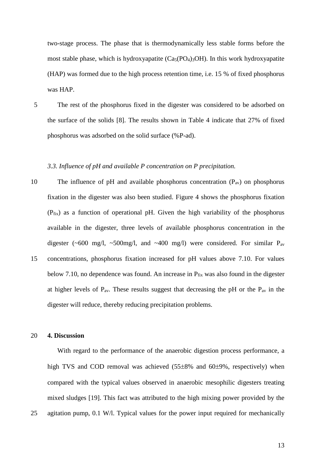two-stage process. The phase that is thermodynamically less stable forms before the most stable phase, which is hydroxyapatite  $(Ca<sub>5</sub>(PO<sub>4</sub>)<sub>3</sub>OH)$ . In this work hydroxyapatite (HAP) was formed due to the high process retention time, i.e. 15 % of fixed phosphorus was HAP.

5 The rest of the phosphorus fixed in the digester was considered to be adsorbed on the surface of the solids [8]. The results shown in Table 4 indicate that 27% of fixed phosphorus was adsorbed on the solid surface (%P-ad).

## *3.3. Influence of pH and available P concentration on P precipitation.*

10 The influence of pH and available phosphorus concentration  $(P_{av})$  on phosphorus fixation in the digester was also been studied. Figure 4 shows the phosphorus fixation (Pfix) as a function of operational pH. Given the high variability of the phosphorus available in the digester, three levels of available phosphorus concentration in the digester (~600 mg/l, ~500mg/l, and ~400 mg/l) were considered. For similar  $P_{av}$ 15 concentrations, phosphorus fixation increased for pH values above 7.10. For values below 7.10, no dependence was found. An increase in  $P_{fix}$  was also found in the digester at higher levels of  $P_{av}$ . These results suggest that decreasing the pH or the  $P_{av}$  in the digester will reduce, thereby reducing precipitation problems.

### 20 **4. Discussion**

With regard to the performance of the anaerobic digestion process performance, a high TVS and COD removal was achieved (55 $\pm$ 8% and 60 $\pm$ 9%, respectively) when compared with the typical values observed in anaerobic mesophilic digesters treating mixed sludges [19]. This fact was attributed to the high mixing power provided by the 25 agitation pump, 0.1 W/l. Typical values for the power input required for mechanically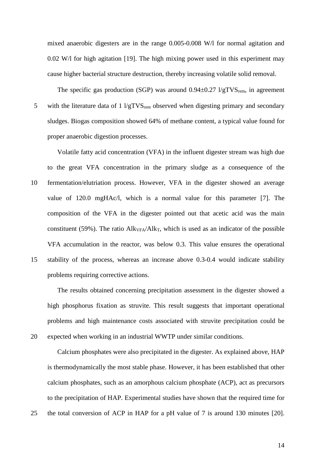mixed anaerobic digesters are in the range 0.005-0.008 W/l for normal agitation and 0.02 W/l for high agitation [19]. The high mixing power used in this experiment may cause higher bacterial structure destruction, thereby increasing volatile solid removal.

The specific gas production (SGP) was around  $0.94\pm0.27$  l/gTVS<sub>rem</sub>, in agreement 5 with the literature data of  $1 \frac{\text{I}}{\text{STVS}}$ <sub>rem</sub> observed when digesting primary and secondary sludges. Biogas composition showed 64% of methane content, a typical value found for proper anaerobic digestion processes.

Volatile fatty acid concentration (VFA) in the influent digester stream was high due to the great VFA concentration in the primary sludge as a consequence of the 10 fermentation/elutriation process. However, VFA in the digester showed an average value of 120.0 mgHAc/l, which is a normal value for this parameter [7]. The composition of the VFA in the digester pointed out that acetic acid was the main constituent (59%). The ratio  $\text{Alk}_{VFA}/\text{Alk}_{T}$ , which is used as an indicator of the possible VFA accumulation in the reactor, was below 0.3. This value ensures the operational 15 stability of the process, whereas an increase above 0.3-0.4 would indicate stability problems requiring corrective actions.

The results obtained concerning precipitation assessment in the digester showed a high phosphorus fixation as struvite. This result suggests that important operational problems and high maintenance costs associated with struvite precipitation could be 20 expected when working in an industrial WWTP under similar conditions.

Calcium phosphates were also precipitated in the digester. As explained above, HAP is thermodynamically the most stable phase. However, it has been established that other calcium phosphates, such as an amorphous calcium phosphate (ACP), act as precursors to the precipitation of HAP. Experimental studies have shown that the required time for 25 the total conversion of ACP in HAP for a pH value of 7 is around 130 minutes [20].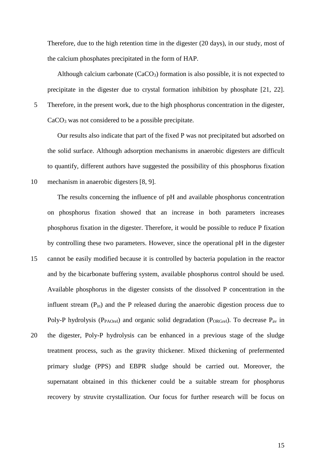Therefore, due to the high retention time in the digester (20 days), in our study, most of the calcium phosphates precipitated in the form of HAP.

Although calcium carbonate  $(CaCO<sub>3</sub>)$  formation is also possible, it is not expected to precipitate in the digester due to crystal formation inhibition by phosphate [21, 22]. 5 Therefore, in the present work, due to the high phosphorus concentration in the digester,  $CaCO<sub>3</sub>$  was not considered to be a possible precipitate.

Our results also indicate that part of the fixed P was not precipitated but adsorbed on the solid surface. Although adsorption mechanisms in anaerobic digesters are difficult to quantify, different authors have suggested the possibility of this phosphorus fixation 10 mechanism in anaerobic digesters [8, 9].

The results concerning the influence of pH and available phosphorus concentration on phosphorus fixation showed that an increase in both parameters increases phosphorus fixation in the digester. Therefore, it would be possible to reduce P fixation by controlling these two parameters. However, since the operational pH in the digester 15 cannot be easily modified because it is controlled by bacteria population in the reactor and by the bicarbonate buffering system, available phosphorus control should be used. Available phosphorus in the digester consists of the dissolved P concentration in the influent stream  $(P_{in})$  and the P released during the anaerobic digestion process due to Poly-P hydrolysis ( $P_{PAOrel}$ ) and organic solid degradation ( $P_{ORGrel}$ ). To decrease  $P_{av}$  in 20 the digester, Poly-P hydrolysis can be enhanced in a previous stage of the sludge treatment process, such as the gravity thickener. Mixed thickening of prefermented primary sludge (PPS) and EBPR sludge should be carried out. Moreover, the supernatant obtained in this thickener could be a suitable stream for phosphorus recovery by struvite crystallization. Our focus for further research will be focus on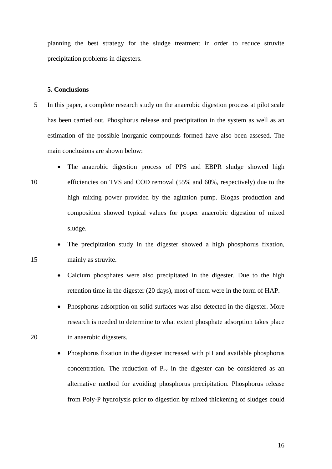planning the best strategy for the sludge treatment in order to reduce struvite precipitation problems in digesters.

## **5. Conclusions**

- 5 In this paper, a complete research study on the anaerobic digestion process at pilot scale has been carried out. Phosphorus release and precipitation in the system as well as an estimation of the possible inorganic compounds formed have also been assesed. The main conclusions are shown below:
- The anaerobic digestion process of PPS and EBPR sludge showed high 10 efficiencies on TVS and COD removal (55% and 60%, respectively) due to the high mixing power provided by the agitation pump. Biogas production and composition showed typical values for proper anaerobic digestion of mixed sludge.
- The precipitation study in the digester showed a high phosphorus fixation, 15 mainly as struvite.
	- Calcium phosphates were also precipitated in the digester. Due to the high retention time in the digester (20 days), most of them were in the form of HAP.
- Phosphorus adsorption on solid surfaces was also detected in the digester. More research is needed to determine to what extent phosphate adsorption takes place 20 in anaerobic digesters.
	- Phosphorus fixation in the digester increased with pH and available phosphorus concentration. The reduction of  $P_{av}$  in the digester can be considered as an alternative method for avoiding phosphorus precipitation. Phosphorus release from Poly-P hydrolysis prior to digestion by mixed thickening of sludges could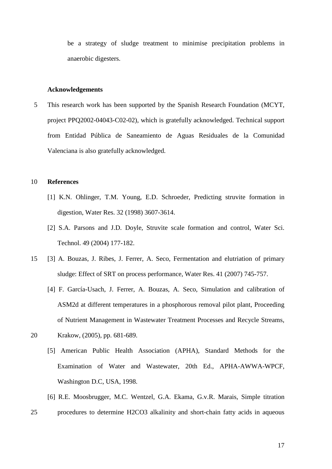be a strategy of sludge treatment to minimise precipitation problems in anaerobic digesters.

## **Acknowledgements**

5 This research work has been supported by the Spanish Research Foundation (MCYT, project PPQ2002-04043-C02-02), which is gratefully acknowledged. Technical support from Entidad Pública de Saneamiento de Aguas Residuales de la Comunidad Valenciana is also gratefully acknowledged.

## 10 **References**

- [1] K.N. Ohlinger, T.M. Young, E.D. Schroeder, Predicting struvite formation in digestion, Water Res. 32 (1998) 3607-3614.
- [2] S.A. Parsons and J.D. Doyle, Struvite scale formation and control, Water Sci. Technol. 49 (2004) 177-182.
- 15 [3] A. Bouzas, J. Ribes, J. Ferrer, A. Seco, Fermentation and elutriation of primary sludge: Effect of SRT on process performance, Water Res. 41 (2007) 745-757.
	- [4] F. García-Usach, J. Ferrer, A. Bouzas, A. Seco, Simulation and calibration of ASM2d at different temperatures in a phosphorous removal pilot plant, Proceeding of Nutrient Management in Wastewater Treatment Processes and Recycle Streams,
- 20 Krakow, (2005), pp. 681-689.
	- [5] American Public Health Association (APHA), Standard Methods for the Examination of Water and Wastewater, 20th Ed., APHA-AWWA-WPCF, Washington D.C, USA, 1998.
- [6] R.E. Moosbrugger, M.C. Wentzel, G.A. Ekama, G.v.R. Marais, Simple titration 25 procedures to determine H2CO3 alkalinity and short-chain fatty acids in aqueous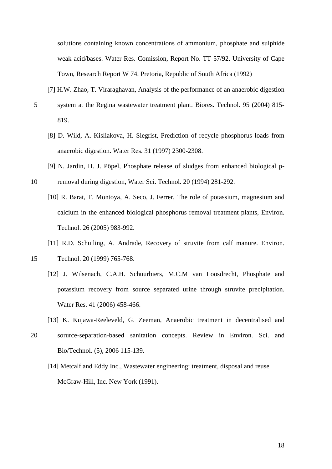solutions containing known concentrations of ammonium, phosphate and sulphide weak acid/bases. Water Res. Comission, Report No. TT 57/92. University of Cape Town, Research Report W 74. Pretoria, Republic of South Africa (1992)

- [7] H.W. Zhao, T. Viraraghavan, Analysis of the performance of an anaerobic digestion
- 5 system at the Regina wastewater treatment plant. Biores. Technol. 95 (2004) 815- 819.
	- [8] D. Wild, A. Kisliakova, H. Siegrist, Prediction of recycle phosphorus loads from anaerobic digestion. Water Res. 31 (1997) 2300-2308.
	- [9] N. Jardin, H. J. Pöpel, Phosphate release of sludges from enhanced biological p-

10 removal during digestion, Water Sci. Technol. 20 (1994) 281-292.

- [10] R. Barat, T. Montoya, A. Seco, J. Ferrer, The role of potassium, magnesium and calcium in the enhanced biological phosphorus removal treatment plants, Environ. Technol. 26 (2005) 983-992.
- [11] R.D. Schuiling, A. Andrade, Recovery of struvite from calf manure. Environ.

- 15 Technol. 20 (1999) 765-768.
	- [12] J. Wilsenach, C.A.H. Schuurbiers, M.C.M van Loosdrecht, Phosphate and potassium recovery from source separated urine through struvite precipitation. Water Res. 41 (2006) 458-466.
	- [13] K. Kujawa-Reeleveld, G. Zeeman, Anaerobic treatment in decentralised and
- 20 sorurce-separation-based sanitation concepts. Review in Environ. Sci. and Bio/Technol. (5), 2006 115-139.
	- [14] Metcalf and Eddy Inc., Wastewater engineering: treatment, disposal and reuse McGraw-Hill, Inc. New York (1991).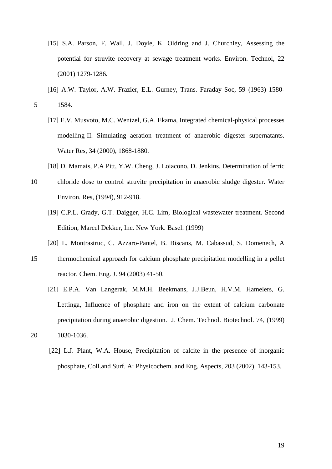- [15] S.A. Parson, F. Wall, J. Doyle, K. Oldring and J. Churchley, Assessing the potential for struvite recovery at sewage treatment works. Environ. Technol, 22 (2001) 1279-1286.
- [16] A.W. Taylor, A.W. Frazier, E.L. Gurney, Trans. Faraday Soc, 59 (1963) 1580-
- 5 1584.
	- [17] E.V. Musvoto, M.C. Wentzel, G.A. Ekama, Integrated chemical-physical processes modelling-II. Simulating aeration treatment of anaerobic digester supernatants. Water Res, 34 (2000), 1868-1880.
	- [18] D. Mamais, P.A Pitt, Y.W. Cheng, J. Loiacono, D. Jenkins, Determination of ferric
- 10 chloride dose to control struvite precipitation in anaerobic sludge digester. Water Environ. Res, (1994), 912-918.
	- [19] C.P.L. Grady, G.T. Daigger, H.C. Lim, Biological wastewater treatment. Second Edition, Marcel Dekker, Inc. New York. Basel. (1999)
	- [20] L. Montrastruc, C. Azzaro-Pantel, B. Biscans, M. Cabassud, S. Domenech, A
- 15 thermochemical approach for calcium phosphate precipitation modelling in a pellet reactor. Chem. Eng. J. 94 (2003) 41-50.
	- [21] E.P.A. Van Langerak, M.M.H. Beekmans, J.J.Beun, H.V.M. Hamelers, G. Lettinga, Influence of phosphate and iron on the extent of calcium carbonate precipitation during anaerobic digestion. J. Chem. Technol. Biotechnol. 74, (1999)

20 1030-1036.

[22] L.J. Plant, W.A. House, Precipitation of calcite in the presence of inorganic phosphate, Coll.and Surf. A: Physicochem. and Eng. Aspects, 203 (2002), 143-153.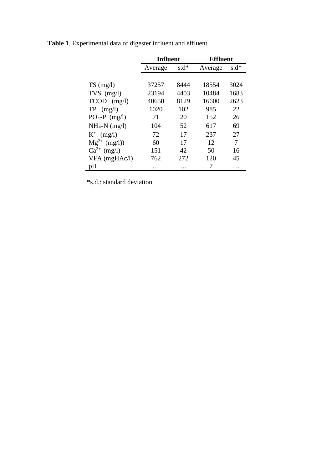|                     | <b>Influent</b> |        | <b>Effluent</b> |          |  |
|---------------------|-----------------|--------|-----------------|----------|--|
|                     | Average         | $s.d*$ | Average         | $s.d*$   |  |
|                     |                 |        |                 |          |  |
| $TS \text{ (mg/l)}$ | 37257           | 8444   | 18554           | 3024     |  |
| $TVS$ (mg/l)        | 23194           | 4403   | 10484           | 1683     |  |
| $TCOD$ (mg/l)       | 40650           | 8129   | 16600           | 2623     |  |
| <b>TP</b><br>(mg/l) | 1020            | 102    | 985             | 22       |  |
| $PO4-P$ (mg/l)      | 71              | 20     | 152             | 26       |  |
| $NH_4-N$ (mg/l)     | 104             | 52     | 617             | 69       |  |
| $K^+$ (mg/l)        | 72              | 17     | 237             | 27       |  |
| $Mg^{2+} (mg/l))$   | 60              | 17     | 12              | 7        |  |
| $Ca^{2+}$<br>(mg/l) | 151             | 42     | 50              | 16       |  |
| $VFA$ (mgHAc/l)     | 762             | 272    | 120             | 45       |  |
| pН                  | .               | .      |                 | $\cdots$ |  |

**Table 1**. Experimental data of digester influent and effluent

\*s.d.: standard deviation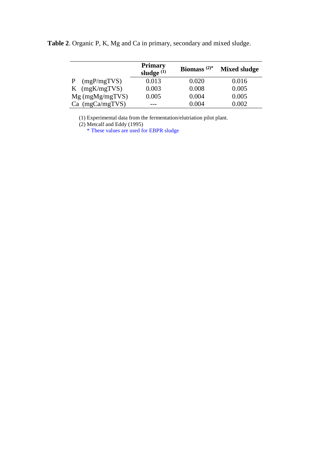|  |  |  | Table 2. Organic P, K, Mg and Ca in primary, secondary and mixed sludge. |  |  |
|--|--|--|--------------------------------------------------------------------------|--|--|
|  |  |  |                                                                          |  |  |

|                    | <b>Primary</b><br>sludge $(1)$ | Biomass $(2)^*$ | <b>Mixed sludge</b> |
|--------------------|--------------------------------|-----------------|---------------------|
| (mgP/mgTVS)<br>P   | 0.013                          | 0.020           | 0.016               |
| (mgK/mgTVS)<br>K   | 0.003                          | 0.008           | 0.005               |
| $Mg$ (mgMg/mgTVS)  | 0.005                          | 0.004           | 0.005               |
| (mgCa/mgTVS)<br>Ca |                                | 0.004           | 0.002               |

(1) Experimental data from the fermentation/elutriation pilot plant.

(2) Metcalf and Eddy (1995)

\* These values are used for EBPR sludge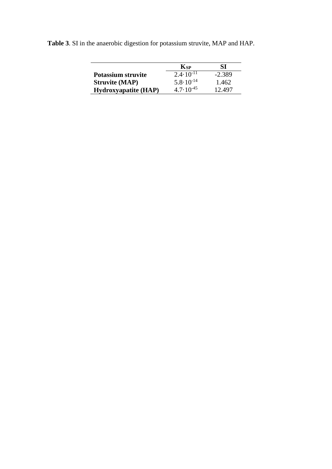|                             | $K_{SP}$             | SI       |
|-----------------------------|----------------------|----------|
| <b>Potassium struvite</b>   | $2.4 \cdot 10^{-11}$ | $-2.389$ |
| <b>Struvite (MAP)</b>       | $5.8 \cdot 10^{-14}$ | 1.462    |
| <b>Hydroxyapatite (HAP)</b> | $4.7 \cdot 10^{-45}$ | 12.497   |

**Table 3**. SI in the anaerobic digestion for potassium struvite, MAP and HAP.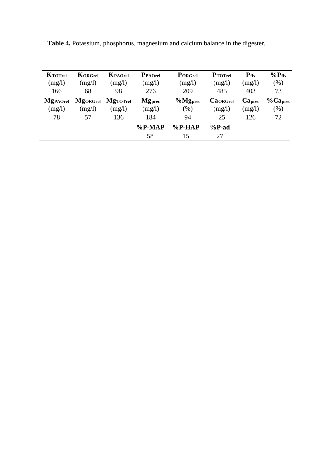| <b>KTOTrel</b>  | KORGrel         | KPAOrel         | PPAOrel            | PORGrel                 | PTOTrel  | $P_{fix}$           | $\%P_{fix}$             |
|-----------------|-----------------|-----------------|--------------------|-------------------------|----------|---------------------|-------------------------|
| (mg/l)          | (mg/l)          | (mg/l)          | (mg/l)             | (mg/l)                  | (mg/l)   | (mg/l)              | (% )                    |
| 166             | 68              | 98              | 276                | 209                     | 485      | 403                 | 73                      |
| <b>MgPAOrel</b> | <b>MgorGrel</b> | <b>MgTOTrel</b> | Mg <sub>prec</sub> | $\%$ Mg <sub>prec</sub> | CaORGrel | $\bf Ca_{\rm prec}$ | $\%$ Ca <sub>prec</sub> |
| (mg/l)          | (mg/l)          | (mg/l)          | (mg/l)             | $(\%)$                  | (mg/l)   | (mg/l)              | (% )                    |
| 78              | 57              | 136             | 184                | 94                      | 25       | 126                 | 72                      |
|                 |                 |                 | $%$ P-MAP          | $\%$ P-HAP              | $%P-ad$  |                     |                         |
|                 |                 |                 | 58                 | 15                      | 27       |                     |                         |

**Table 4.** Potassium, phosphorus, magnesium and calcium balance in the digester.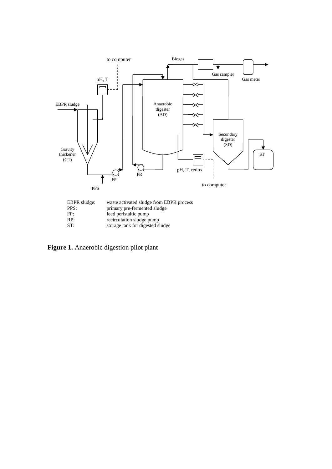

**Figure 1.** Anaerobic digestion pilot plant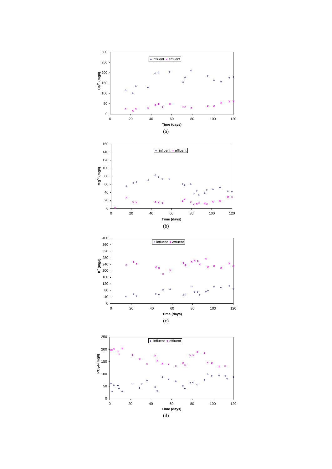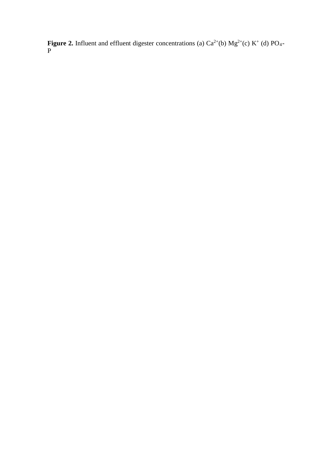**Figure 2.** Influent and effluent digester concentrations (a)  $Ca^{2+}(b) Mg^{2+}(c) K^+(d) PO_4$ P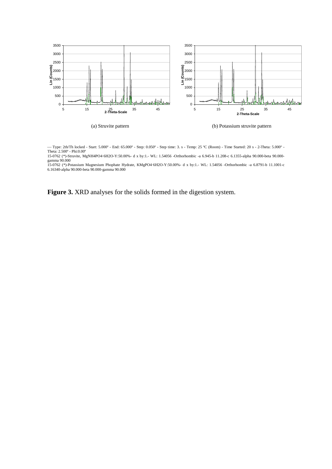

 Type: 2th/Th locked - Start: 5.000º - End: 65.000º - Step: 0.050º - Step time: 3. s - Temp: 25 ºC (Room) - Time Started: 20 s - 2-Theta: 5.000º - Theta: 2.500º - Phi:0.00º

15-0762 (\*)-Struvite, MgNH4PO4·6H2O-Y:50.00%- d x by:1.- WL: 1.54056 -Orthorhombic -a 6.945-b 11.208-c 6.1355-alpha 90.000-beta 90.000 gamma 90.000

15-0762 (\*)-Potassium Magnesium Phophate Hydrate, KMgPO4·6H2O-Y:50.00%- d x by:1.- WL: 1.54056 -Orthorhombic -a 6.8791-b 11.1001-c 6.16340-alpha 90.000-beta 90.000-gamma 90.000

Figure 3. XRD analyses for the solids formed in the digestion system.